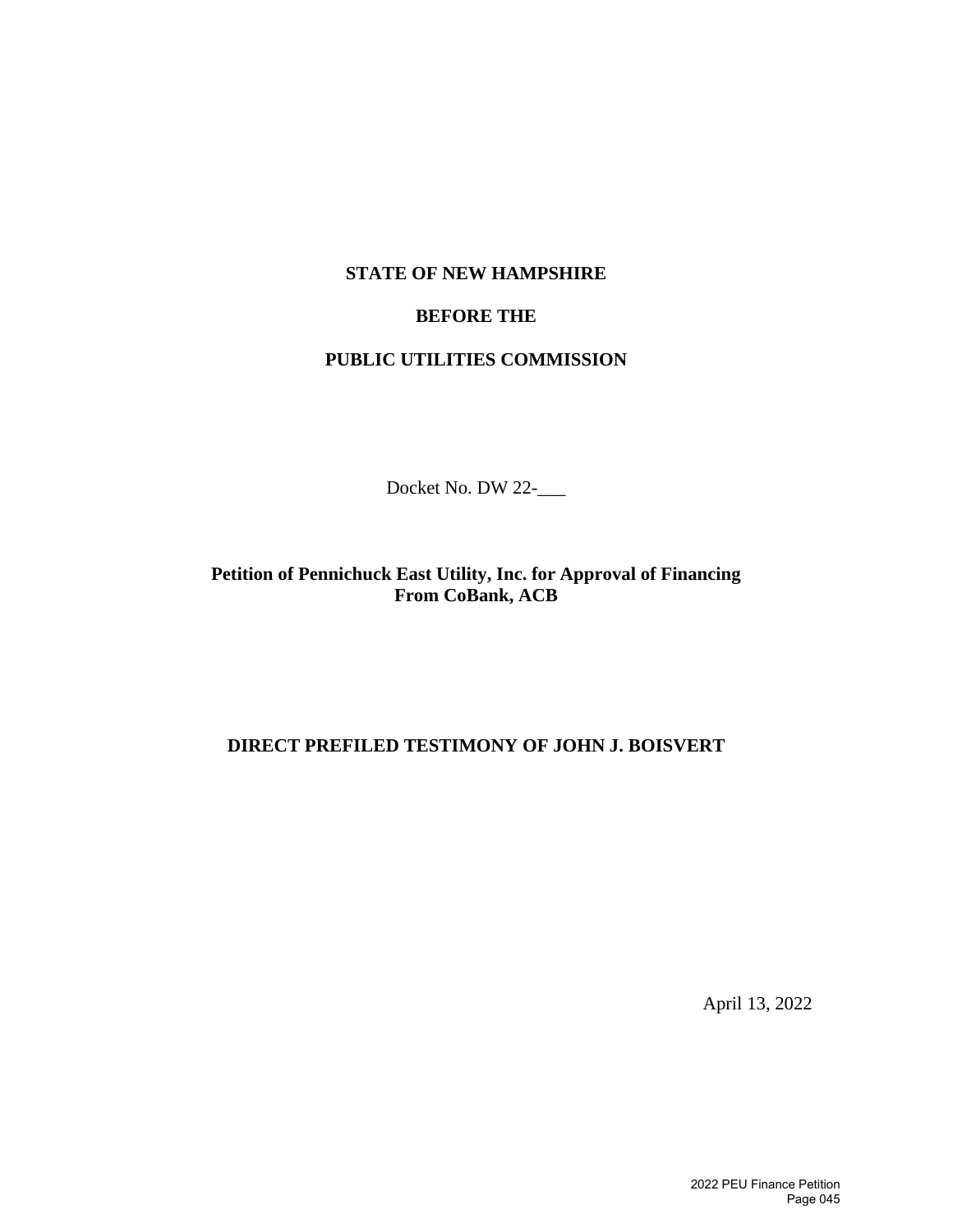## **STATE OF NEW HAMPSHIRE**

## **BEFORE THE**

## **PUBLIC UTILITIES COMMISSION**

Docket No. DW 22-\_\_\_

**Petition of Pennichuck East Utility, Inc. for Approval of Financing From CoBank, ACB** 

## **DIRECT PREFILED TESTIMONY OF JOHN J. BOISVERT**

April 13, 2022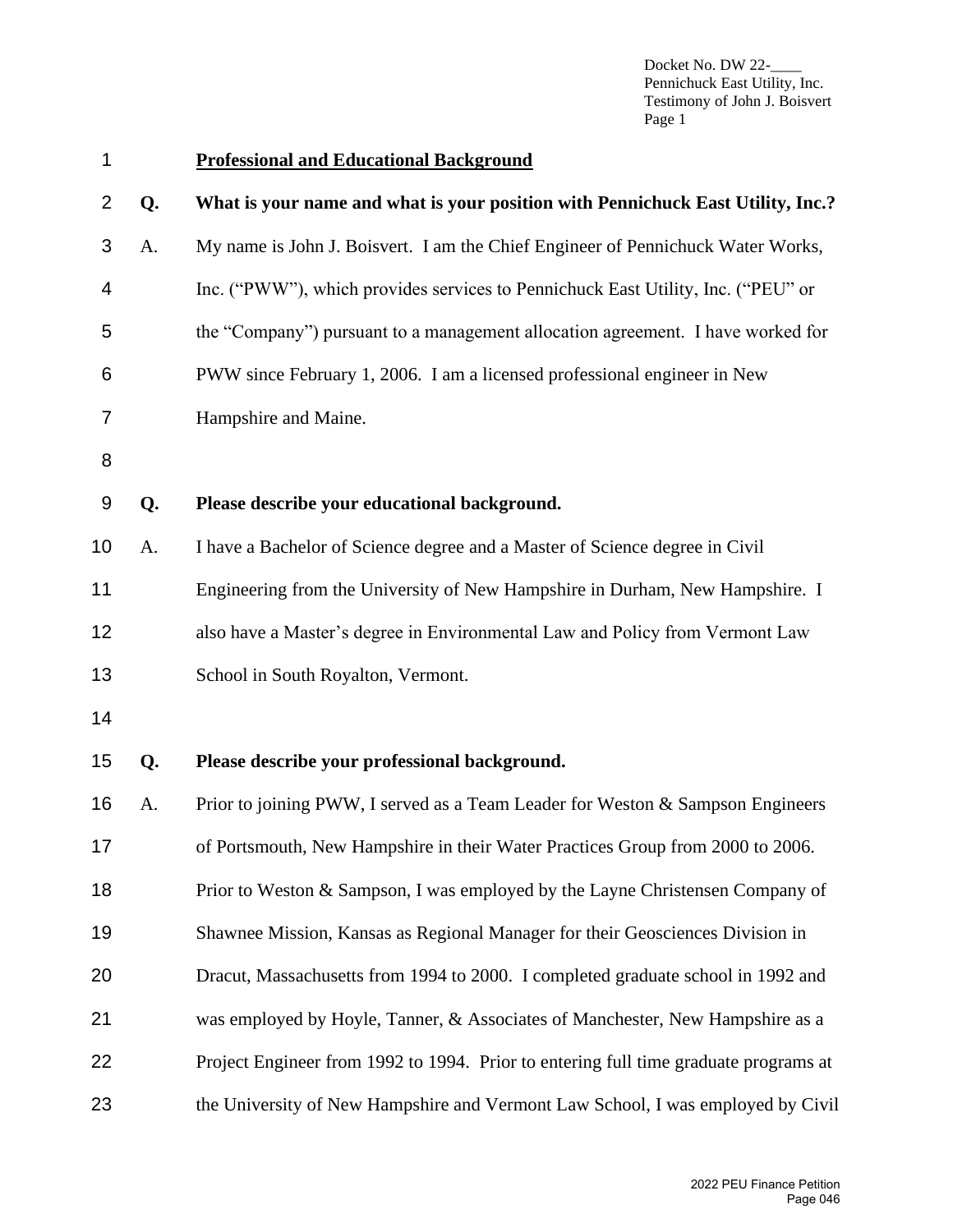Docket No. DW 22-Pennichuck East Utility, Inc. Testimony of John J. Boisvert Page 1

| 1  |    | <b>Professional and Educational Background</b>                                       |
|----|----|--------------------------------------------------------------------------------------|
| 2  | Q. | What is your name and what is your position with Pennichuck East Utility, Inc.?      |
| 3  | A. | My name is John J. Boisvert. I am the Chief Engineer of Pennichuck Water Works,      |
| 4  |    | Inc. ("PWW"), which provides services to Pennichuck East Utility, Inc. ("PEU" or     |
| 5  |    | the "Company") pursuant to a management allocation agreement. I have worked for      |
| 6  |    | PWW since February 1, 2006. I am a licensed professional engineer in New             |
| 7  |    | Hampshire and Maine.                                                                 |
| 8  |    |                                                                                      |
| 9  | Q. | Please describe your educational background.                                         |
| 10 | A. | I have a Bachelor of Science degree and a Master of Science degree in Civil          |
| 11 |    | Engineering from the University of New Hampshire in Durham, New Hampshire. I         |
| 12 |    | also have a Master's degree in Environmental Law and Policy from Vermont Law         |
| 13 |    | School in South Royalton, Vermont.                                                   |
| 14 |    |                                                                                      |
| 15 | Q. | Please describe your professional background.                                        |
| 16 | A. | Prior to joining PWW, I served as a Team Leader for Weston & Sampson Engineers       |
| 17 |    | of Portsmouth, New Hampshire in their Water Practices Group from 2000 to 2006.       |
| 18 |    | Prior to Weston & Sampson, I was employed by the Layne Christensen Company of        |
| 19 |    | Shawnee Mission, Kansas as Regional Manager for their Geosciences Division in        |
| 20 |    | Dracut, Massachusetts from 1994 to 2000. I completed graduate school in 1992 and     |
| 21 |    | was employed by Hoyle, Tanner, & Associates of Manchester, New Hampshire as a        |
| 22 |    | Project Engineer from 1992 to 1994. Prior to entering full time graduate programs at |
| 23 |    | the University of New Hampshire and Vermont Law School, I was employed by Civil      |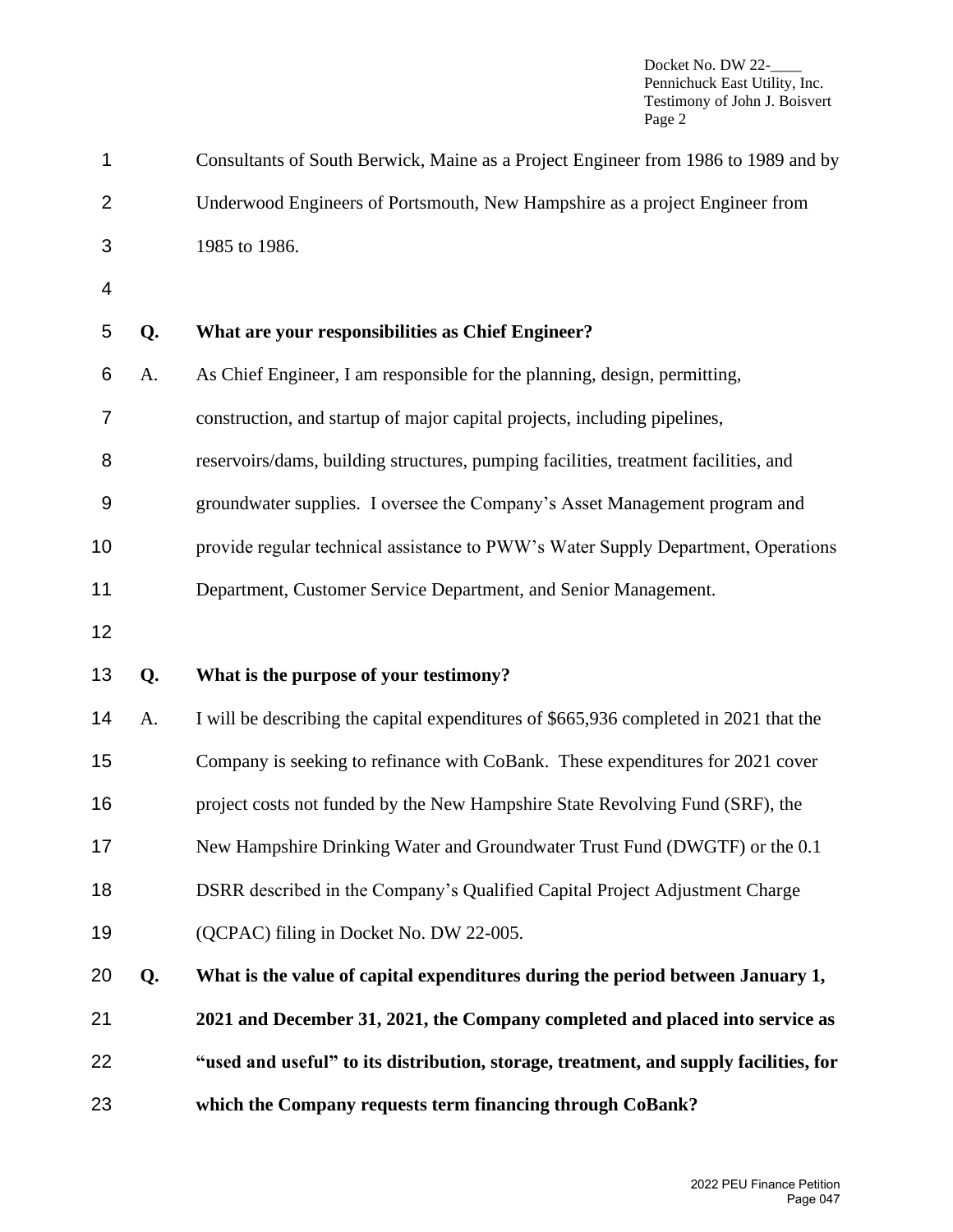Docket No. DW 22-Pennichuck East Utility, Inc. Testimony of John J. Boisvert Page 2

| 1              |    | Consultants of South Berwick, Maine as a Project Engineer from 1986 to 1989 and by    |
|----------------|----|---------------------------------------------------------------------------------------|
| $\overline{2}$ |    | Underwood Engineers of Portsmouth, New Hampshire as a project Engineer from           |
| 3              |    | 1985 to 1986.                                                                         |
| $\overline{4}$ |    |                                                                                       |
| 5              | Q. | What are your responsibilities as Chief Engineer?                                     |
| 6              | A. | As Chief Engineer, I am responsible for the planning, design, permitting,             |
| 7              |    | construction, and startup of major capital projects, including pipelines,             |
| 8              |    | reservoirs/dams, building structures, pumping facilities, treatment facilities, and   |
| $9$            |    | groundwater supplies. I oversee the Company's Asset Management program and            |
| 10             |    | provide regular technical assistance to PWW's Water Supply Department, Operations     |
| 11             |    | Department, Customer Service Department, and Senior Management.                       |
| 12             |    |                                                                                       |
| 13             | Q. | What is the purpose of your testimony?                                                |
| 14             | A. | I will be describing the capital expenditures of \$665,936 completed in 2021 that the |
| 15             |    | Company is seeking to refinance with CoBank. These expenditures for 2021 cover        |
| 16             |    | project costs not funded by the New Hampshire State Revolving Fund (SRF), the         |
| 17             |    | New Hampshire Drinking Water and Groundwater Trust Fund (DWGTF) or the 0.1            |
| 18             |    | DSRR described in the Company's Qualified Capital Project Adjustment Charge           |
| 19             |    | (QCPAC) filing in Docket No. DW 22-005.                                               |
| 20             | Q. | What is the value of capital expenditures during the period between January 1,        |
| 21             |    | 2021 and December 31, 2021, the Company completed and placed into service as          |
| 22             |    | "used and useful" to its distribution, storage, treatment, and supply facilities, for |
| 23             |    | which the Company requests term financing through CoBank?                             |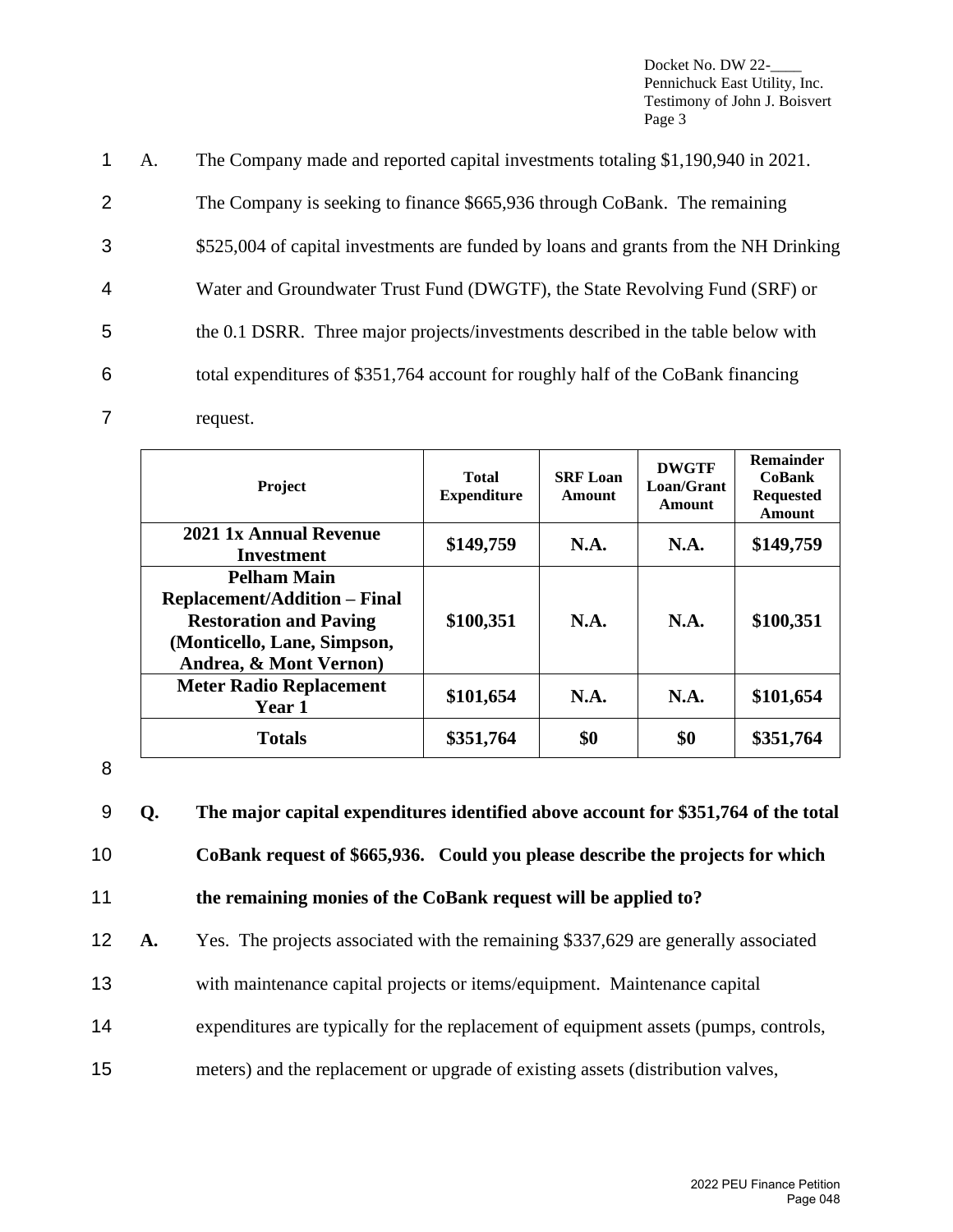Docket No. DW 22-Pennichuck East Utility, Inc. Testimony of John J. Boisvert Page 3

 A. The Company made and reported capital investments totaling \$1,190,940 in 2021. The Company is seeking to finance \$665,936 through CoBank. The remaining \$525,004 of capital investments are funded by loans and grants from the NH Drinking Water and Groundwater Trust Fund (DWGTF), the State Revolving Fund (SRF) or the 0.1 DSRR. Three major projects/investments described in the table below with total expenditures of \$351,764 account for roughly half of the CoBank financing request.

| <b>Project</b>                                                                                                                                      | Total<br><b>Expenditure</b> | <b>SRF Loan</b><br>Amount | <b>DWGTF</b><br>Loan/Grant<br>Amount | <b>Remainder</b><br><b>CoBank</b><br><b>Requested</b><br><b>Amount</b> |
|-----------------------------------------------------------------------------------------------------------------------------------------------------|-----------------------------|---------------------------|--------------------------------------|------------------------------------------------------------------------|
| 2021 1x Annual Revenue<br>Investment                                                                                                                | \$149,759                   | N.A.                      | N.A.                                 | \$149,759                                                              |
| <b>Pelham Main</b><br><b>Replacement/Addition – Final</b><br><b>Restoration and Paving</b><br>(Monticello, Lane, Simpson,<br>Andrea, & Mont Vernon) | \$100,351                   | <b>N.A.</b>               | <b>N.A.</b>                          | \$100,351                                                              |
| <b>Meter Radio Replacement</b><br><b>Year 1</b>                                                                                                     | \$101,654                   | <b>N.A.</b>               | N.A.                                 | \$101,654                                                              |
| <b>Totals</b>                                                                                                                                       | \$351,764                   | \$0                       | \$0                                  | \$351,764                                                              |

8

 **Q. The major capital expenditures identified above account for \$351,764 of the total CoBank request of \$665,936. Could you please describe the projects for which the remaining monies of the CoBank request will be applied to? A.** Yes. The projects associated with the remaining \$337,629 are generally associated with maintenance capital projects or items/equipment. Maintenance capital

- 14 expenditures are typically for the replacement of equipment assets (pumps, controls,
- 15 meters) and the replacement or upgrade of existing assets (distribution valves,